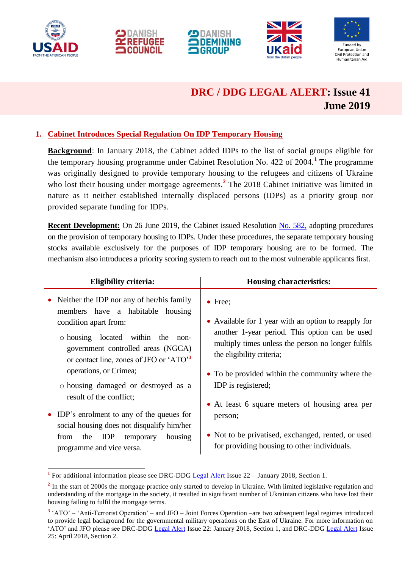









# **DRC / DDG LEGAL ALERT: Issue 41 June 2019**

## **1. Cabinet Introduces Special Regulation On IDP Temporary Housing**

**Background**: In January 2018, the Cabinet added IDPs to the list of social groups eligible for the temporary housing programme under Cabinet Resolution No. 422 of 2004.**<sup>1</sup>** The programme was originally designed to provide temporary housing to the refugees and citizens of Ukraine who lost their housing under mortgage agreements.<sup>2</sup> The 2018 Cabinet initiative was limited in nature as it neither established internally displaced persons (IDPs) as a priority group nor provided separate funding for IDPs.

**Recent Development:** On 26 June 2019, the Cabinet issued Resolution [No. 582,](https://zakon.rada.gov.ua/laws/show/582-2019-п) adopting procedures on the provision of temporary housing to IDPs. Under these procedures, the separate temporary housing stocks available exclusively for the purposes of IDP temporary housing are to be formed. The mechanism also introduces a priority scoring system to reach out to the most vulnerable applicants first.

| <b>Eligibility criteria:</b>                                                                                                                                                                                                                                                                                                                                                                                                                                                                               | <b>Housing characteristics:</b>                                                                                                                                                                                                                                                                                                                                                                                                                         |
|------------------------------------------------------------------------------------------------------------------------------------------------------------------------------------------------------------------------------------------------------------------------------------------------------------------------------------------------------------------------------------------------------------------------------------------------------------------------------------------------------------|---------------------------------------------------------------------------------------------------------------------------------------------------------------------------------------------------------------------------------------------------------------------------------------------------------------------------------------------------------------------------------------------------------------------------------------------------------|
| • Neither the IDP nor any of her/his family<br>members have a habitable housing<br>condition apart from:<br>o housing located within the non-<br>government controlled areas (NGCA)<br>or contact line, zones of JFO or 'ATO' <sup>3</sup><br>operations, or Crimea;<br>o housing damaged or destroyed as a<br>result of the conflict;<br>• IDP's enrolment to any of the queues for<br>social housing does not disqualify him/her<br>the IDP<br>housing<br>temporary<br>from<br>programme and vice versa. | $\bullet$ Free;<br>• Available for 1 year with an option to reapply for<br>another 1-year period. This option can be used<br>multiply times unless the person no longer fulfils<br>the eligibility criteria;<br>• To be provided within the community where the<br>IDP is registered;<br>• At least 6 square meters of housing area per<br>person;<br>• Not to be privatised, exchanged, rented, or used<br>for providing housing to other individuals. |

 **1** For additional information please see DRC-DDG [Legal Alert](https://www.humanitarianresponse.info/en/operations/ukraine/document/ukraine-legal-alert-drc-january-2018-юридичний-інформаційний-бюлетень) Issue 22 – January 2018, Section 1.

<sup>&</sup>lt;sup>2</sup> In the start of 2000s the mortgage practice only started to develop in Ukraine. With limited legislative regulation and understanding of the mortgage in the society, it resulted in significant number of Ukrainian citizens who have lost their housing failing to fulfil the mortgage terms.

<sup>&</sup>lt;sup>3</sup> 'ATO' – 'Anti-Terrorist Operation' – and JFO – Joint Forces Operation –are two subsequent legal regimes introduced to provide legal background for the governmental military operations on the East of Ukraine. For more information on 'ATO' and JFO please see DRC-DDG [Legal Alert](https://www.humanitarianresponse.info/en/operations/ukraine/document/ukraine-legal-alert-drc-january-2018-юридичний-інформаційний-бюлетень) Issue 22: January 2018, Section 1, and DRC-DDG [Legal Alert](https://www.humanitarianresponse.info/en/operations/ukraine/document/drc-legal-alert-april-2018-юридичний-інформаційний-бюлетень-юридический) Issue 25: April 2018, Section 2.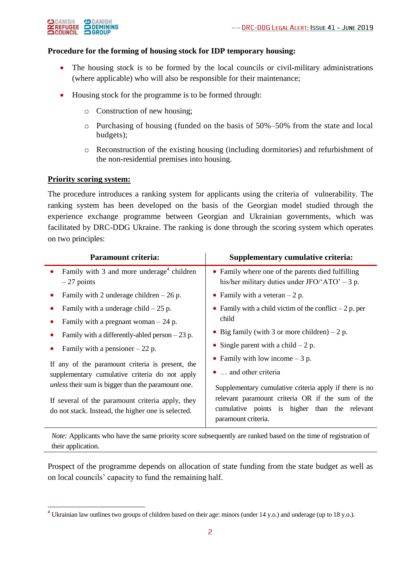

#### **Procedure for the forming of housing stock for IDP temporary housing:**

- The housing stock is to be formed by the local councils or civil-military administrations (where applicable) who will also be responsible for their maintenance;
- Housing stock for the programme is to be formed through:
	- o Construction of new housing;
	- o Purchasing of housing (funded on the basis of 50%–50% from the state and local budgets);
	- o Reconstruction of the existing housing (including dormitories) and refurbishment of the non-residential premises into housing.

#### **Priority scoring system:**

-

The procedure introduces a ranking system for applicants using the criteria of vulnerability. The ranking system has been developed on the basis of the Georgian model studied through the experience exchange programme between Georgian and Ukrainian governments, which was facilitated by DRC-DDG Ukraine. The ranking is done through the scoring system which operates on two principles:

|           | <b>Paramount criteria:</b>                                                                                                                                                                                                                                                                                                               | Supplementary cumulative criteria:                                                                                                                                                                                                                                                                                                                                                                                    |
|-----------|------------------------------------------------------------------------------------------------------------------------------------------------------------------------------------------------------------------------------------------------------------------------------------------------------------------------------------------|-----------------------------------------------------------------------------------------------------------------------------------------------------------------------------------------------------------------------------------------------------------------------------------------------------------------------------------------------------------------------------------------------------------------------|
| $\bullet$ | Family with 3 and more underage <sup>4</sup> children<br>$-27$ points                                                                                                                                                                                                                                                                    | • Family where one of the parents died fulfilling<br>his/her military duties under JFO/ $'ATO' - 3 p$ .                                                                                                                                                                                                                                                                                                               |
|           | Family with 2 underage children $-26$ p.                                                                                                                                                                                                                                                                                                 | • Family with a veteran $-2$ p.                                                                                                                                                                                                                                                                                                                                                                                       |
|           | Family with a underage child $-25$ p.<br>Family with a pregnant woman $-24$ p.<br>Family with a differently-abled person $-23$ p.<br>Family with a pensioner $-22$ p.<br>If any of the paramount criteria is present, the<br>supplementary cumulative criteria do not apply<br><i>unless</i> their sum is bigger than the paramount one. | • Family with a child victim of the conflict $-2$ p. per<br>child<br>• Big family (with 3 or more children) $-2$ p.<br>• Single parent with a child $-2$ p.<br>• Family with low income $-3$ p.<br>$\bullet$ and other criteria<br>Supplementary cumulative criteria apply if there is no<br>relevant paramount criteria OR if the sum of the<br>cumulative points is higher than the relevant<br>paramount criteria. |
|           | If several of the paramount criteria apply, they<br>do not stack. Instead, the higher one is selected.                                                                                                                                                                                                                                   |                                                                                                                                                                                                                                                                                                                                                                                                                       |

*Note:* Applicants who have the same priority score subsequently are ranked based on the time of registration of their application.

Prospect of the programme depends on allocation of state funding from the state budget as well as on local councils' capacity to fund the remaining half.

**<sup>4</sup>** Ukrainian law outlines two groups of children based on their age: minors (under 14 y.o.) and underage (up to 18 y.o.).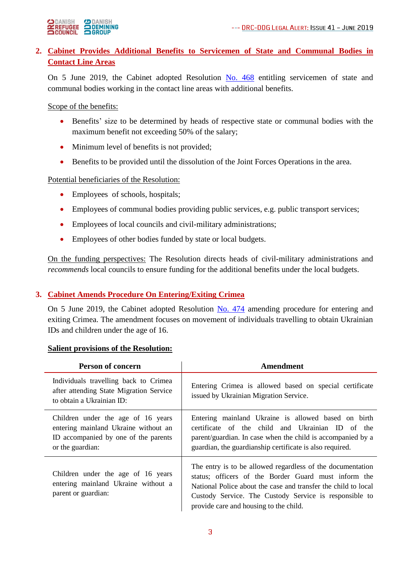

# **2. Cabinet Provides Additional Benefits to Servicemen of State and Communal Bodies in Contact Line Areas**

On 5 June 2019, the Cabinet adopted Resolution [No. 468](https://zakon.rada.gov.ua/laws/show/468-2019-п) entitling servicemen of state and communal bodies working in the contact line areas with additional benefits.

Scope of the benefits:

- Benefits' size to be determined by heads of respective state or communal bodies with the maximum benefit not exceeding 50% of the salary;
- Minimum level of benefits is not provided;
- Benefits to be provided until the dissolution of the Joint Forces Operations in the area.

## Potential beneficiaries of the Resolution:

- Employees of schools, hospitals;
- Employees of communal bodies providing public services, e.g. public transport services;
- Employees of local councils and civil-military administrations;
- Employees of other bodies funded by state or local budgets.

On the funding perspectives: The Resolution directs heads of civil-military administrations and *recommends* local councils to ensure funding for the additional benefits under the local budgets.

## **3. Cabinet Amends Procedure On Entering/Exiting Crimea**

On 5 June 2019, the Cabinet adopted Resolution [No. 474](https://zakon.rada.gov.ua/laws/show/474-2019-п) amending procedure for entering and exiting Crimea. The amendment focuses on movement of individuals travelling to obtain Ukrainian IDs and children under the age of 16.

#### **Salient provisions of the Resolution:**

| Person of concern                                                                                                                      | Amendment                                                                                                                                                                                                                                                                                |
|----------------------------------------------------------------------------------------------------------------------------------------|------------------------------------------------------------------------------------------------------------------------------------------------------------------------------------------------------------------------------------------------------------------------------------------|
| Individuals travelling back to Crimea<br>after attending State Migration Service<br>to obtain a Ukrainian ID:                          | Entering Crimea is allowed based on special certificate<br>issued by Ukrainian Migration Service.                                                                                                                                                                                        |
| Children under the age of 16 years<br>entering mainland Ukraine without an<br>ID accompanied by one of the parents<br>or the guardian: | Entering mainland Ukraine is allowed based on birth<br>certificate of the child and Ukrainian ID of the<br>parent/guardian. In case when the child is accompanied by a<br>guardian, the guardianship certificate is also required.                                                       |
| Children under the age of 16 years<br>entering mainland Ukraine without a<br>parent or guardian:                                       | The entry is to be allowed regardless of the documentation<br>status; officers of the Border Guard must inform the<br>National Police about the case and transfer the child to local<br>Custody Service. The Custody Service is responsible to<br>provide care and housing to the child. |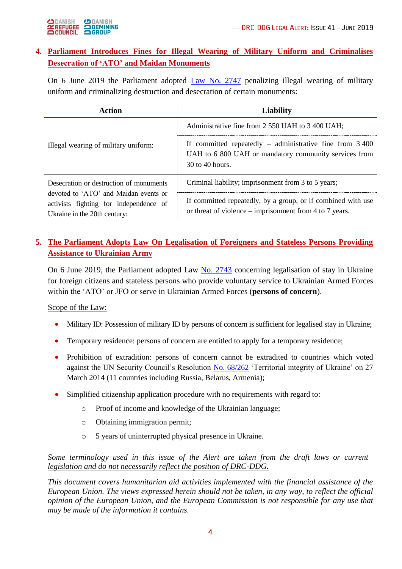

## **4. Parliament Introduces Fines for Illegal Wearing of Military Uniform and Criminalises Desecration of 'ATO' and Maidan Monuments**

On 6 June 2019 the Parliament adopted [Law No. 2747](https://zakon.rada.gov.ua/laws/show/2747-19) penalizing illegal wearing of military uniform and criminalizing destruction and desecration of certain monuments:

| Action                                                                                                          | <b>Liability</b>                                                                                                                       |
|-----------------------------------------------------------------------------------------------------------------|----------------------------------------------------------------------------------------------------------------------------------------|
|                                                                                                                 | Administrative fine from 2 550 UAH to 3 400 UAH;                                                                                       |
| Illegal wearing of military uniform:                                                                            | If committed repeatedly $-$ administrative fine from 3 400<br>UAH to 6 800 UAH or mandatory community services from<br>30 to 40 hours. |
| Desecration or destruction of monuments                                                                         | Criminal liability; imprisonment from 3 to 5 years;                                                                                    |
| devoted to 'ATO' and Maidan events or<br>activists fighting for independence of<br>Ukraine in the 20th century: | If committed repeatedly, by a group, or if combined with use<br>or threat of violence – imprisonment from 4 to 7 years.                |

## **5. The Parliament Adopts Law On Legalisation of Foreigners and Stateless Persons Providing Assistance to Ukrainian Army**

On 6 June 2019, the Parliament adopted Law [No. 2743](http://w1.c1.rada.gov.ua/pls/zweb2/webproc4_1?pf3511=57000) concerning legalisation of stay in Ukraine for foreign citizens and stateless persons who provide voluntary service to Ukrainian Armed Forces within the 'ATO' or JFO or serve in Ukrainian Armed Forces (**persons of concern**).

## Scope of the Law:

- Military ID: Possession of military ID by persons of concern is sufficient for legalised stay in Ukraine;
- Temporary residence: persons of concern are entitled to apply for a temporary residence;
- Prohibition of extradition: persons of concern cannot be extradited to countries which voted against the UN Security Council's Resolution [No. 68/262](http://www.securitycouncilreport.org/atf/cf/%7B65BFCF9B-6D27-4E9C-8CD3-CF6E4FF96FF9%7D/a_res_68_262.pdf) 'Territorial integrity of Ukraine' on 27 March 2014 (11 countries including Russia, Belarus, Armenia);
- Simplified citizenship application procedure with no requirements with regard to:
	- o Proof of income and knowledge of the Ukrainian language;
	- o Obtaining immigration permit;
	- o 5 years of uninterrupted physical presence in Ukraine.

#### *Some terminology used in this issue of the Alert are taken from the draft laws or current legislation and do not necessarily reflect the position of DRC-DDG.*

*This document covers humanitarian aid activities implemented with the financial assistance of the European Union. The views expressed herein should not be taken, in any way, to reflect the official opinion of the European Union, and the European Commission is not responsible for any use that may be made of the information it contains.*